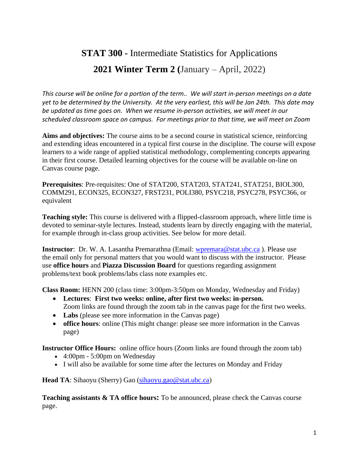# **STAT 300 -** Intermediate Statistics for Applications **2021 Winter Term 2 (**January – April, 2022)

*This course will be online for a portion of the term.. We will start in-person meetings on a date yet to be determined by the University. At the very earliest, this will be Jan 24th. This date may be updated as time goes on. When we resume in-person activities, we will meet in our scheduled classroom space on campus. For meetings prior to that time, we will meet on Zoom*

**Aims and objectives:** The course aims to be a second course in statistical science, reinforcing and extending ideas encountered in a typical first course in the discipline. The course will expose learners to a wide range of applied statistical methodology, complementing concepts appearing in their first course. Detailed learning objectives for the course will be available on-line on Canvas course page.

**Prerequisites**: Pre-requisites: One of STAT200, STAT203, STAT241, STAT251, BIOL300, COMM291, ECON325, ECON327, FRST231, POLI380, PSYC218, PSYC278, PSYC366, or equivalent

**Teaching style:** This course is delivered with a flipped-classroom approach, where little time is devoted to seminar-style lectures. Instead, students learn by directly engaging with the material, for example through in-class group activities. See below for more detail.

**Instructor**: Dr. W. A. Lasantha Premarathna (Email: [wpremara@stat.ubc.ca](mailto:wpremara@stat.ubc.ca)). Please use the email only for personal matters that you would want to discuss with the instructor. Please use **office hours** and **Piazza Discussion Board** for questions regarding assignment problems/text book problems/labs class note examples etc.

**Class Room:** HENN 200 (class time: 3:00pm-3:50pm on Monday, Wednesday and Friday)

- **Lectures**: **First two weeks: online, after first two weeks: in-person.** Zoom links are found through the zoom tab in the canvas page for the first two weeks.
- Labs (please see more information in the Canvas page)
- **office hours**: online (This might change: please see more information in the Canvas page)

**Instructor Office Hours:** online office hours (Zoom links are found through the zoom tab)

- 4:00pm 5:00pm on Wednesday
- I will also be available for some time after the lectures on Monday and Friday

Head TA: Sihaoyu (Sherry) Gao [\(sihaoyu.gao@stat.ubc.ca\)](mailto:sihaoyu.gao@stat.ubc.ca)

**Teaching assistants & TA office hours:** To be announced, please check the Canvas course page.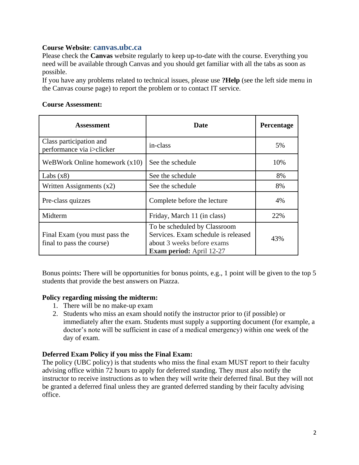# **Course Website**: **canvas.ubc.ca**

Please check the **Canvas** website regularly to keep up-to-date with the course. Everything you need will be available through Canvas and you should get familiar with all the tabs as soon as possible.

If you have any problems related to technical issues, please use **?Help** (see the left side menu in the Canvas course page) to report the problem or to contact IT service.

# **Course Assessment:**

| Assessment                                                 | <b>Date</b>                                                                                                                          | Percentage |
|------------------------------------------------------------|--------------------------------------------------------------------------------------------------------------------------------------|------------|
| Class participation and<br>performance via i>clicker       | in-class                                                                                                                             | 5%         |
| WeBWork Online homework $(x10)$                            | See the schedule                                                                                                                     | 10%        |
| Labs $(x8)$                                                | See the schedule                                                                                                                     | 8%         |
| Written Assignments $(x2)$                                 | See the schedule                                                                                                                     | 8%         |
| Pre-class quizzes                                          | Complete before the lecture                                                                                                          | 4%         |
| Midterm                                                    | Friday, March 11 (in class)                                                                                                          | 22%        |
| Final Exam (you must pass the<br>final to pass the course) | To be scheduled by Classroom<br>Services. Exam schedule is released<br>about 3 weeks before exams<br><b>Exam period:</b> April 12-27 | 43%        |

Bonus points**:** There will be opportunities for bonus points, e.g., 1 point will be given to the top 5 students that provide the best answers on Piazza.

## **Policy regarding missing the midterm:**

- 1. There will be no make-up exam
- 2. Students who miss an exam should notify the instructor prior to (if possible) or immediately after the exam. Students must supply a supporting document (for example, a doctor's note will be sufficient in case of a medical emergency) within one week of the day of exam.

# **Deferred Exam Policy if you miss the Final Exam:**

The policy (UBC policy) is that students who miss the final exam MUST report to their faculty advising office within 72 hours to apply for deferred standing. They must also notify the instructor to receive instructions as to when they will write their deferred final. But they will not be granted a deferred final unless they are granted deferred standing by their faculty advising office.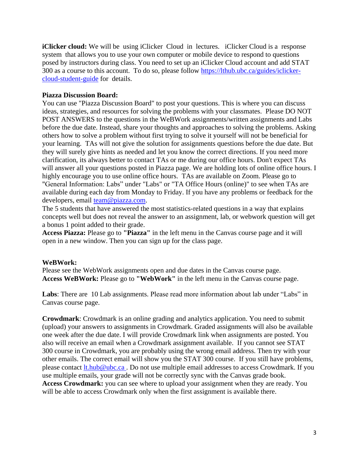**iClicker cloud:** We will be using iClicker Cloud in lectures. iClicker Cloud is a response system that allows you to use your own computer or mobile device to respond to questions posed by instructors during class. You need to set up an iClicker Cloud account and add STAT 300 as a course to this account. To do so, please follow [https://lthub.ubc.ca/guides/iclicker](https://lthub.ubc.ca/guides/iclicker-cloud-student-guide)[cloud-student-guide](https://lthub.ubc.ca/guides/iclicker-cloud-student-guide) for details.

#### **Piazza Discussion Board:**

You can use "Piazza Discussion Board" to post your questions. This is where you can discuss ideas, strategies, and resources for solving the problems with your classmates. Please DO NOT POST ANSWERS to the questions in the WeBWork assignments/written assignments and Labs before the due date. Instead, share your thoughts and approaches to solving the problems. Asking others how to solve a problem without first trying to solve it yourself will not be beneficial for your learning. TAs will not give the solution for assignments questions before the due date. But they will surely give hints as needed and let you know the correct directions. If you need more clarification, its always better to contact TAs or me during our office hours. Don't expect TAs will answer all your questions posted in Piazza page. We are holding lots of online office hours. I highly encourage you to use online office hours. TAs are available on Zoom. Please go to "General Information: Labs" under "Labs" or "TA Office Hours (online)" to see when TAs are available during each day from Monday to Friday. If you have any problems or feedback for the developers, email [team@piazza.com.](mailto:team@piazza.com)

The 5 students that have answered the most statistics-related questions in a way that explains concepts well but does not reveal the answer to an assignment, lab, or webwork question will get a bonus 1 point added to their grade.

**Access Piazza:** Please go to **"Piazza"** in the left menu in the Canvas course page and it will open in a new window. Then you can sign up for the class page.

#### **WeBWork:**

Please see the WebWork assignments open and due dates in the Canvas course page. **Access WeBWork:** Please go to **"WebWork"** in the left menu in the Canvas course page.

**Labs**: There are 10 Lab assignments. Please read more information about lab under "Labs" in Canvas course page.

**Crowdmark**: Crowdmark is an online grading and analytics application. You need to submit (upload) your answers to assignments in Crowdmark. Graded assignments will also be available one week after the due date. I will provide Crowdmark link when assignments are posted. You also will receive an email when a Crowdmark assignment available. If you cannot see STAT 300 course in Crowdmark, you are probably using the wrong email address. Then try with your other emails. The correct email will show you the STAT 300 course. If you still have problems, please contact [lt.hub@ubc.ca](mailto:lt.hub@ubc.ca) . Do not use multiple email addresses to access Crowdmark. If you use multiple emails, your grade will not be correctly sync with the Canvas grade book. **Access Crowdmark:** you can see where to upload your assignment when they are ready. You will be able to access Crowdmark only when the first assignment is available there.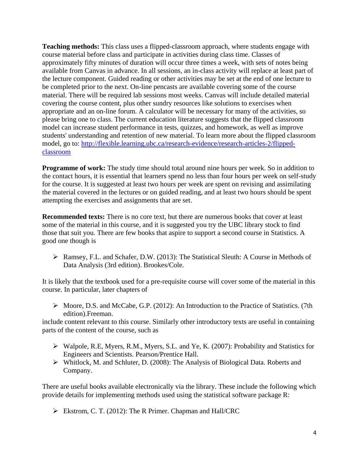**Teaching methods:** This class uses a flipped-classroom approach, where students engage with course material before class and participate in activities during class time. Classes of approximately fifty minutes of duration will occur three times a week, with sets of notes being available from Canvas in advance. In all sessions, an in-class activity will replace at least part of the lecture component. Guided reading or other activities may be set at the end of one lecture to be completed prior to the next. On-line pencasts are available covering some of the course material. There will be required lab sessions most weeks. Canvas will include detailed material covering the course content, plus other sundry resources like solutions to exercises when appropriate and an on-line forum. A calculator will be necessary for many of the activities, so please bring one to class. The current education literature suggests that the flipped classroom model can increase student performance in tests, quizzes, and homework, as well as improve students' understanding and retention of new material. To learn more about the flipped classroom model, go to: [http://flexible.learning.ubc.ca/research-evidence/research-articles-2/flipped](http://flexible.learning.ubc.ca/research-evidence/research-articles-2/flipped-classroom)[classroom](http://flexible.learning.ubc.ca/research-evidence/research-articles-2/flipped-classroom)

**Programme of work:** The study time should total around nine hours per week. So in addition to the contact hours, it is essential that learners spend no less than four hours per week on self-study for the course. It is suggested at least two hours per week are spent on revising and assimilating the material covered in the lectures or on guided reading, and at least two hours should be spent attempting the exercises and assignments that are set.

**Recommended texts:** There is no core text, but there are numerous books that cover at least some of the material in this course, and it is suggested you try the UBC library stock to find those that suit you. There are few books that aspire to support a second course in Statistics. A good one though is

 Ramsey, F.L. and Schafer, D.W. (2013): The Statistical Sleuth: A Course in Methods of Data Analysis (3rd edition). Brookes/Cole.

It is likely that the textbook used for a pre-requisite course will cover some of the material in this course. In particular, later chapters of

 Moore, D.S. and McCabe, G.P. (2012): An Introduction to the Practice of Statistics. (7th edition).Freeman.

include content relevant to this course. Similarly other introductory texts are useful in containing parts of the content of the course, such as

- Walpole, R.E, Myers, R.M., Myers, S.L. and Ye, K. (2007): Probability and Statistics for Engineers and Scientists. Pearson/Prentice Hall.
- Whitlock, M. and Schluter, D. (2008): The Analysis of Biological Data. Roberts and Company.

There are useful books available electronically via the library. These include the following which provide details for implementing methods used using the statistical software package R:

Ekstrom, C. T. (2012): The R Primer. Chapman and Hall/CRC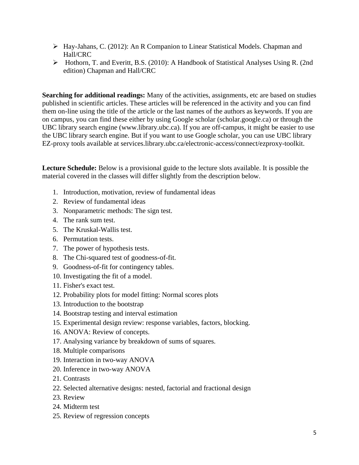- Hay-Jahans, C. (2012): An R Companion to Linear Statistical Models. Chapman and Hall/CRC
- Hothorn, T. and Everitt, B.S. (2010): A Handbook of Statistical Analyses Using R. (2nd edition) Chapman and Hall/CRC

**Searching for additional readings:** Many of the activities, assignments, etc are based on studies published in scientific articles. These articles will be referenced in the activity and you can find them on-line using the title of the article or the last names of the authors as keywords. If you are on campus, you can find these either by using Google scholar (scholar.google.ca) or through the UBC library search engine (www.library.ubc.ca). If you are off-campus, it might be easier to use the UBC library search engine. But if you want to use Google scholar, you can use UBC library EZ-proxy tools available at services.library.ubc.ca/electronic-access/connect/ezproxy-toolkit.

**Lecture Schedule:** Below is a provisional guide to the lecture slots available. It is possible the material covered in the classes will differ slightly from the description below.

- 1. Introduction, motivation, review of fundamental ideas
- 2. Review of fundamental ideas
- 3. Nonparametric methods: The sign test.
- 4. The rank sum test.
- 5. The Kruskal-Wallis test.
- 6. Permutation tests.
- 7. The power of hypothesis tests.
- 8. The Chi-squared test of goodness-of-fit.
- 9. Goodness-of-fit for contingency tables.
- 10. Investigating the fit of a model.
- 11. Fisher's exact test.
- 12. Probability plots for model fitting: Normal scores plots
- 13. Introduction to the bootstrap
- 14. Bootstrap testing and interval estimation
- 15. Experimental design review: response variables, factors, blocking.
- 16. ANOVA: Review of concepts.
- 17. Analysing variance by breakdown of sums of squares.
- 18. Multiple comparisons
- 19. Interaction in two-way ANOVA
- 20. Inference in two-way ANOVA
- 21. Contrasts
- 22. Selected alternative designs: nested, factorial and fractional design
- 23. Review
- 24. Midterm test
- 25. Review of regression concepts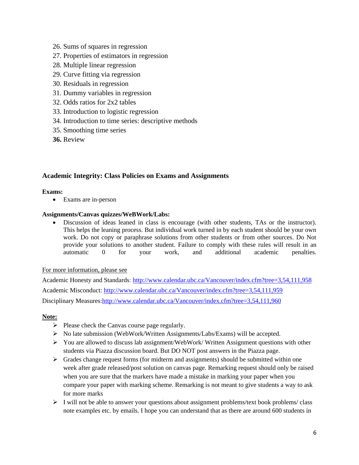- 26. Sums of squares in regression
- 27. Properties of estimators in regression
- 28. Multiple linear regression
- 29. Curve fitting via regression
- 30. Residuals in regression
- 31. Dummy variables in regression
- 32. Odds ratios for 2x2 tables
- 33. Introduction to logistic regression
- 34. Introduction to time series: descriptive methods
- 35. Smoothing time series
- **36.** Review

## **Academic Integrity: Class Policies on Exams and Assignments**

#### **Exams:**

Exams are in-person

#### **Assignments/Canvas quizzes/WeBWork/Labs:**

 Discussion of ideas leaned in class is encourage (with other students, TAs or the instructor). This helps the leaning process. But individual work turned in by each student should be your own work. Do not copy or paraphrase solutions from other students or from other sources. Do Not provide your solutions to another student. Failure to comply with these rules will result in an automatic and additional academic penalties. automatic 0 for your work, and additional academic penalties.

#### For more information, please see

Academic Honesty and Standards:<http://www.calendar.ubc.ca/Vancouver/index.cfm?tree=3,54,111,958> Academic Misconduct:<http://www.calendar.ubc.ca/Vancouver/index.cfm?tree=3,54,111,959> Disciplinary Measures: http://www.calendar.ubc.ca/Vancouver/index.cfm?tree=3,54,111,960

#### **Note:**

- $\triangleright$  Please check the Canvas course page regularly.
- $\triangleright$  No late submission (WebWork/Written Assignments/Labs/Exams) will be accepted.
- You are allowed to discuss lab assignment/WebWork/ Written Assignment questions with other students via Piazza discussion board. But DO NOT post answers in the Piazza page.
- $\triangleright$  Grades change request forms (for midterm and assignments) should be submitted within one week after grade released/post solution on canvas page. Remarking request should only be raised when you are sure that the markers have made a mistake in marking your paper when you compare your paper with marking scheme. Remarking is not meant to give students a way to ask for more marks
- $\triangleright$  I will not be able to answer your questions about assignment problems/text book problems/ class note examples etc. by emails. I hope you can understand that as there are around 600 students in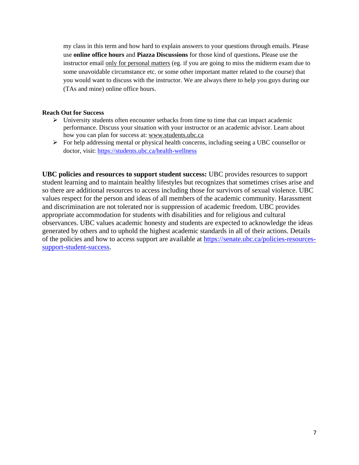my class in this term and how hard to explain answers to your questions through emails. Please use **online office hours** and **Piazza Discussions** for those kind of questions**.** Please use the instructor email only for personal matters (eg. if you are going to miss the midterm exam due to some unavoidable circumstance etc. or some other important matter related to the course) that you would want to discuss with the instructor. We are always there to help you guys during our (TAs and mine) online office hours.

#### **Reach Out for Success**

- $\triangleright$  University students often encounter setbacks from time to time that can impact academic performance. Discuss your situation with your instructor or an academic advisor. Learn about how you can plan for success at: [www.students.ubc.ca](http://www.students.ubc.ca/)
- $\triangleright$  For help addressing mental or physical health concerns, including seeing a UBC counsellor or doctor, visit:<https://students.ubc.ca/health-wellness>

**UBC policies and resources to support student success:** UBC provides resources to support student learning and to maintain healthy lifestyles but recognizes that sometimes crises arise and so there are additional resources to access including those for survivors of sexual violence. UBC values respect for the person and ideas of all members of the academic community. Harassment and discrimination are not tolerated nor is suppression of academic freedom. UBC provides appropriate accommodation for students with disabilities and for religious and cultural observances. UBC values academic honesty and students are expected to acknowledge the ideas generated by others and to uphold the highest academic standards in all of their actions. Details of the policies and how to access support are available at [https://senate.ubc.ca/policies-resources](https://senate.ubc.ca/policies-resources-support-student-success)[support-student-success.](https://senate.ubc.ca/policies-resources-support-student-success)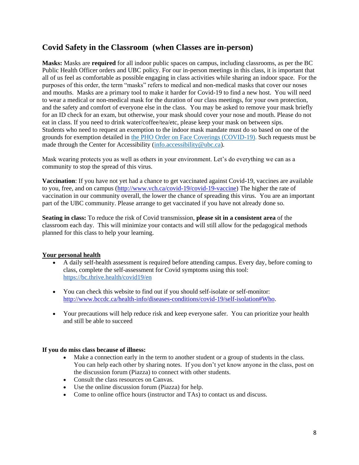# **Covid Safety in the Classroom (when Classes are in-person)**

**Masks:** Masks are **required** for all indoor public spaces on campus, including classrooms, as per the BC Public Health Officer orders and UBC policy. For our in-person meetings in this class, it is important that all of us feel as comfortable as possible engaging in class activities while sharing an indoor space. For the purposes of this order, the term "masks" refers to medical and non-medical masks that cover our noses and mouths. Masks are a primary tool to make it harder for Covid-19 to find a new host. You will need to wear a medical or non-medical mask for the duration of our class meetings, for your own protection, and the safety and comfort of everyone else in the class. You may be asked to remove your mask briefly for an ID check for an exam, but otherwise, your mask should cover your nose and mouth. Please do not eat in class. If you need to drink water/coffee/tea/etc, please keep your mask on between sips. Students who need to request an exemption to the indoor mask mandate must do so based on one of the grounds for exemption detailed in [the PHO Order on Face Coverings \(COVID-19\).](https://www2.gov.bc.ca/assets/gov/health/about-bc-s-health-care-system/office-of-the-provincial-health-officer/covid-19/covid-19-pho-order-face-coverings.pdf) Such requests must be made through the Center for Accessibility (info.accessibility@ubc.ca).

Mask wearing protects you as well as others in your environment. Let's do everything we can as a community to stop the spread of this virus.

**Vaccination**: If you have not yet had a chance to get vaccinated against Covid-19, vaccines are available to you, free, and on campus [\(http://www.vch.ca/covid-19/covid-19-vaccine\)](http://www.vch.ca/covid-19/covid-19-vaccine) The higher the rate of vaccination in our community overall, the lower the chance of spreading this virus. You are an important part of the UBC community. Please arrange to get vaccinated if you have not already done so.

**Seating in class:** To reduce the risk of Covid transmission, **please sit in a consistent area** of the classroom each day. This will minimize your contacts and will still allow for the pedagogical methods planned for this class to help your learning.

## **Your personal health**

- A daily self-health assessment is required before attending campus. Every day, before coming to class, complete the self-assessment for Covid symptoms using this tool[:](https://bc.thrive.health/covid19/en) <https://bc.thrive.health/covid19/en>
- You can check this website to find out if you should self-isolate or self-monitor: [http://www.bccdc.ca/health-info/diseases-conditions/covid-19/self-isolation#Who.](http://www.bccdc.ca/health-info/diseases-conditions/covid-19/self-isolation#Who)
- Your precautions will help reduce risk and keep everyone safer. You can prioritize your health and still be able to succeed

#### **If you do miss class because of illness:**

- Make a connection early in the term to another student or a group of students in the class. You can help each other by sharing notes. If you don't yet know anyone in the class, post on the discussion forum (Piazza) to connect with other students.
- Consult the class resources on Canvas.
- Use the online discussion forum (Piazza) for help.
- Come to online office hours (instructor and TAs) to contact us and discuss.